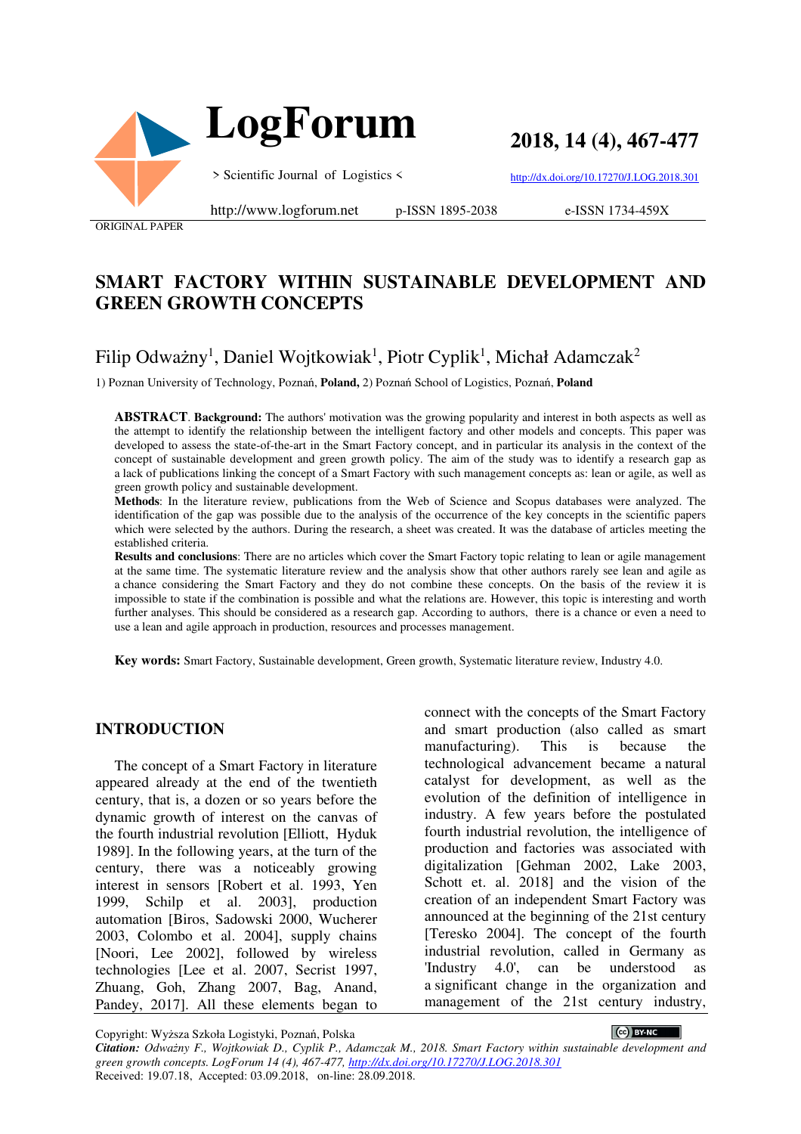

**2018, 14 (4), 467-477**

http://dx.doi.org/10.17270/J.LOG.2018.301

ORIGINAL PAPER

http://www.logforum.net p-ISSN 1895-2038

e-ISSN 1734-459X

## **SMART FACTORY WITHIN SUSTAINABLE DEVELOPMENT AND GREEN GROWTH CONCEPTS**

# Filip Odważny<sup>1</sup>, Daniel Wojtkowiak<sup>1</sup>, Piotr Cyplik<sup>1</sup>, Michał Adamczak<sup>2</sup>

1) Poznan University of Technology, Poznań, **Poland,** 2) Poznań School of Logistics, Poznań, **Poland**

**ABSTRACT**. **Background:** The authors' motivation was the growing popularity and interest in both aspects as well as the attempt to identify the relationship between the intelligent factory and other models and concepts. This paper was developed to assess the state-of-the-art in the Smart Factory concept, and in particular its analysis in the context of the concept of sustainable development and green growth policy. The aim of the study was to identify a research gap as a lack of publications linking the concept of a Smart Factory with such management concepts as: lean or agile, as well as green growth policy and sustainable development.

**Methods**: In the literature review, publications from the Web of Science and Scopus databases were analyzed. The identification of the gap was possible due to the analysis of the occurrence of the key concepts in the scientific papers which were selected by the authors. During the research, a sheet was created. It was the database of articles meeting the established criteria.

**Results and conclusions**: There are no articles which cover the Smart Factory topic relating to lean or agile management at the same time. The systematic literature review and the analysis show that other authors rarely see lean and agile as a chance considering the Smart Factory and they do not combine these concepts. On the basis of the review it is impossible to state if the combination is possible and what the relations are. However, this topic is interesting and worth further analyses. This should be considered as a research gap. According to authors, there is a chance or even a need to use a lean and agile approach in production, resources and processes management.

**Key words:** Smart Factory, Sustainable development, Green growth, Systematic literature review, Industry 4.0.

#### **INTRODUCTION**

The concept of a Smart Factory in literature appeared already at the end of the twentieth century, that is, a dozen or so years before the dynamic growth of interest on the canvas of the fourth industrial revolution [Elliott, Hyduk 1989]. In the following years, at the turn of the century, there was a noticeably growing interest in sensors [Robert et al. 1993, Yen 1999, Schilp et al. 2003], production automation [Biros, Sadowski 2000, Wucherer 2003, Colombo et al. 2004], supply chains [Noori, Lee 2002], followed by wireless technologies [Lee et al. 2007, Secrist 1997, Zhuang, Goh, Zhang 2007, Bag, Anand, Pandey, 2017]. All these elements began to connect with the concepts of the Smart Factory and smart production (also called as smart manufacturing). This is because the technological advancement became a natural catalyst for development, as well as the evolution of the definition of intelligence in industry. A few years before the postulated fourth industrial revolution, the intelligence of production and factories was associated with digitalization [Gehman 2002, Lake 2003, Schott et. al. 2018] and the vision of the creation of an independent Smart Factory was announced at the beginning of the 21st century [Teresko 2004]. The concept of the fourth industrial revolution, called in Germany as 'Industry 4.0', can be understood as a significant change in the organization and management of the 21st century industry,

Copyright: Wyższa Szkoła Logistyki, Poznań, Polska

 $\bigcirc$  BY-NC  $\bigcirc$ 

*Citation: Odważny F., Wojtkowiak D., Cyplik P., Adamczak M., 2018. Smart Factory within sustainable development and green growth concepts. LogForum 14 (4), 467-477, http://dx.doi.org/10.17270/J.LOG.2018.301*  Received: 19.07.18, Accepted: 03.09.2018, on-line: 28.09.2018.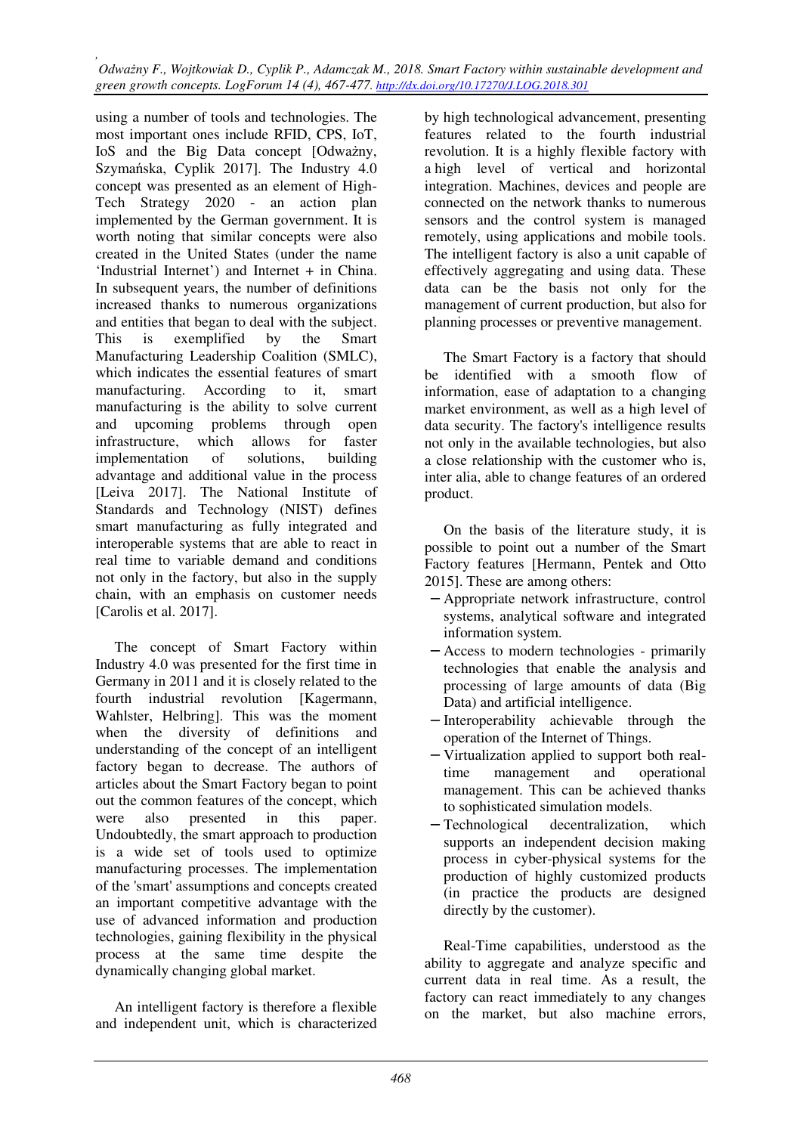using a number of tools and technologies. The most important ones include RFID, CPS, IoT, IoS and the Big Data concept [Odważny, Szymańska, Cyplik 2017]. The Industry 4.0 concept was presented as an element of High-Tech Strategy 2020 - an action plan implemented by the German government. It is worth noting that similar concepts were also created in the United States (under the name 'Industrial Internet') and Internet + in China. In subsequent years, the number of definitions increased thanks to numerous organizations and entities that began to deal with the subject. This is exemplified by the Smart Manufacturing Leadership Coalition (SMLC), which indicates the essential features of smart manufacturing. According to it, smart manufacturing is the ability to solve current and upcoming problems through open infrastructure, which allows for faster implementation of solutions, building advantage and additional value in the process [Leiva 2017]. The National Institute of Standards and Technology (NIST) defines smart manufacturing as fully integrated and interoperable systems that are able to react in real time to variable demand and conditions not only in the factory, but also in the supply chain, with an emphasis on customer needs [Carolis et al. 2017].

The concept of Smart Factory within Industry 4.0 was presented for the first time in Germany in 2011 and it is closely related to the fourth industrial revolution [Kagermann, Wahlster, Helbring]. This was the moment when the diversity of definitions and understanding of the concept of an intelligent factory began to decrease. The authors of articles about the Smart Factory began to point out the common features of the concept, which were also presented in this paper. Undoubtedly, the smart approach to production is a wide set of tools used to optimize manufacturing processes. The implementation of the 'smart' assumptions and concepts created an important competitive advantage with the use of advanced information and production technologies, gaining flexibility in the physical process at the same time despite the dynamically changing global market.

An intelligent factory is therefore a flexible and independent unit, which is characterized by high technological advancement, presenting features related to the fourth industrial revolution. It is a highly flexible factory with a high level of vertical and horizontal integration. Machines, devices and people are connected on the network thanks to numerous sensors and the control system is managed remotely, using applications and mobile tools. The intelligent factory is also a unit capable of effectively aggregating and using data. These data can be the basis not only for the management of current production, but also for planning processes or preventive management.

The Smart Factory is a factory that should be identified with a smooth flow of information, ease of adaptation to a changing market environment, as well as a high level of data security. The factory's intelligence results not only in the available technologies, but also a close relationship with the customer who is, inter alia, able to change features of an ordered product.

On the basis of the literature study, it is possible to point out a number of the Smart Factory features [Hermann, Pentek and Otto 2015]. These are among others:

- − Appropriate network infrastructure, control systems, analytical software and integrated information system.
- − Access to modern technologies primarily technologies that enable the analysis and processing of large amounts of data (Big Data) and artificial intelligence.
- − Interoperability achievable through the operation of the Internet of Things.
- − Virtualization applied to support both realtime management and operational management. This can be achieved thanks to sophisticated simulation models.
- − Technological decentralization, which supports an independent decision making process in cyber-physical systems for the production of highly customized products (in practice the products are designed directly by the customer).

Real-Time capabilities, understood as the ability to aggregate and analyze specific and current data in real time. As a result, the factory can react immediately to any changes on the market, but also machine errors,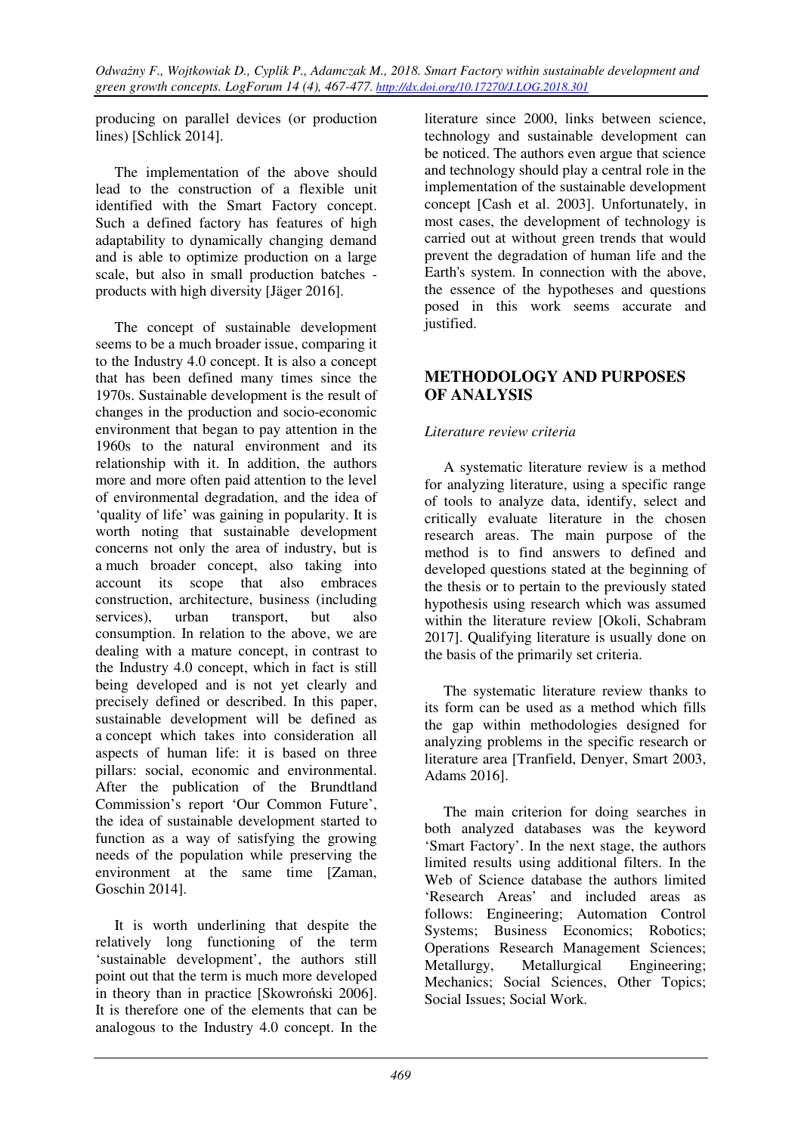producing on parallel devices (or production lines) [Schlick 2014].

The implementation of the above should lead to the construction of a flexible unit identified with the Smart Factory concept. Such a defined factory has features of high adaptability to dynamically changing demand and is able to optimize production on a large scale, but also in small production batches products with high diversity [Jäger 2016].

The concept of sustainable development seems to be a much broader issue, comparing it to the Industry 4.0 concept. It is also a concept that has been defined many times since the 1970s. Sustainable development is the result of changes in the production and socio-economic environment that began to pay attention in the 1960s to the natural environment and its relationship with it. In addition, the authors more and more often paid attention to the level of environmental degradation, and the idea of 'quality of life' was gaining in popularity. It is worth noting that sustainable development concerns not only the area of industry, but is a much broader concept, also taking into account its scope that also embraces construction, architecture, business (including services), urban transport, but also consumption. In relation to the above, we are dealing with a mature concept, in contrast to the Industry 4.0 concept, which in fact is still being developed and is not yet clearly and precisely defined or described. In this paper, sustainable development will be defined as a concept which takes into consideration all aspects of human life: it is based on three pillars: social, economic and environmental. After the publication of the Brundtland Commission's report 'Our Common Future', the idea of sustainable development started to function as a way of satisfying the growing needs of the population while preserving the environment at the same time [Zaman, Goschin 2014].

It is worth underlining that despite the relatively long functioning of the term 'sustainable development', the authors still point out that the term is much more developed in theory than in practice [Skowroński 2006]. It is therefore one of the elements that can be analogous to the Industry 4.0 concept. In the

literature since 2000, links between science, technology and sustainable development can be noticed. The authors even argue that science and technology should play a central role in the implementation of the sustainable development concept [Cash et al. 2003]. Unfortunately, in most cases, the development of technology is carried out at without green trends that would prevent the degradation of human life and the Earth's system. In connection with the above, the essence of the hypotheses and questions posed in this work seems accurate and justified.

### **METHODOLOGY AND PURPOSES OF ANALYSIS**

### *Literature review criteria*

A systematic literature review is a method for analyzing literature, using a specific range of tools to analyze data, identify, select and critically evaluate literature in the chosen research areas. The main purpose of the method is to find answers to defined and developed questions stated at the beginning of the thesis or to pertain to the previously stated hypothesis using research which was assumed within the literature review [Okoli, Schabram 2017]. Qualifying literature is usually done on the basis of the primarily set criteria.

The systematic literature review thanks to its form can be used as a method which fills the gap within methodologies designed for analyzing problems in the specific research or literature area [Tranfield, Denyer, Smart 2003, Adams 2016].

The main criterion for doing searches in both analyzed databases was the keyword 'Smart Factory'. In the next stage, the authors limited results using additional filters. In the Web of Science database the authors limited 'Research Areas' and included areas as follows: Engineering; Automation Control Systems; Business Economics; Robotics; Operations Research Management Sciences; Metallurgy, Metallurgical Engineering; Mechanics; Social Sciences, Other Topics; Social Issues; Social Work.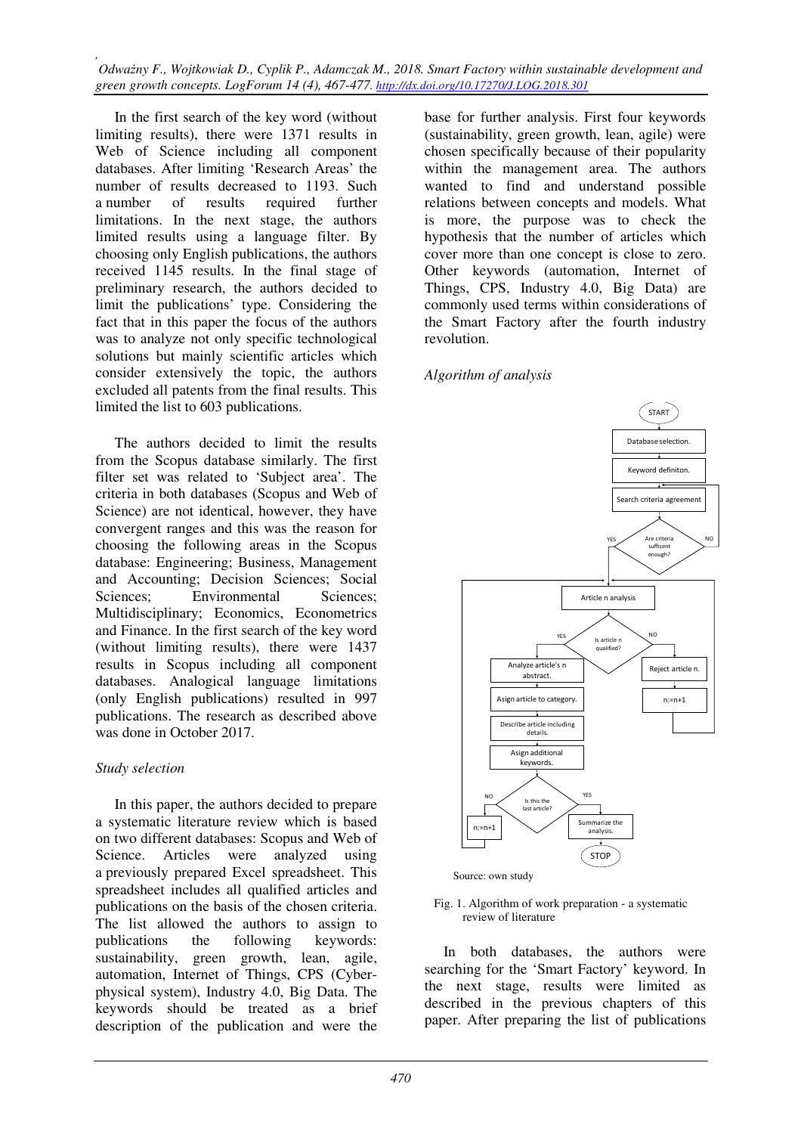In the first search of the key word (without limiting results), there were 1371 results in Web of Science including all component databases. After limiting 'Research Areas' the number of results decreased to 1193. Such a number of results required further limitations. In the next stage, the authors limited results using a language filter. By choosing only English publications, the authors received 1145 results. In the final stage of preliminary research, the authors decided to limit the publications' type. Considering the fact that in this paper the focus of the authors was to analyze not only specific technological solutions but mainly scientific articles which consider extensively the topic, the authors excluded all patents from the final results. This limited the list to 603 publications.

The authors decided to limit the results from the Scopus database similarly. The first filter set was related to 'Subject area'. The criteria in both databases (Scopus and Web of Science) are not identical, however, they have convergent ranges and this was the reason for choosing the following areas in the Scopus database: Engineering; Business, Management and Accounting; Decision Sciences; Social Sciences: Environmental Sciences: Multidisciplinary; Economics, Econometrics and Finance. In the first search of the key word (without limiting results), there were 1437 results in Scopus including all component databases. Analogical language limitations (only English publications) resulted in 997 publications. The research as described above was done in October 2017.

#### *Study selection*

In this paper, the authors decided to prepare a systematic literature review which is based on two different databases: Scopus and Web of Science. Articles were analyzed using a previously prepared Excel spreadsheet. This spreadsheet includes all qualified articles and publications on the basis of the chosen criteria. The list allowed the authors to assign to publications the following keywords: sustainability, green growth, lean, agile, automation, Internet of Things, CPS (Cyberphysical system), Industry 4.0, Big Data. The keywords should be treated as a brief description of the publication and were the

base for further analysis. First four keywords (sustainability, green growth, lean, agile) were chosen specifically because of their popularity within the management area. The authors wanted to find and understand possible relations between concepts and models. What is more, the purpose was to check the hypothesis that the number of articles which cover more than one concept is close to zero. Other keywords (automation, Internet of Things, CPS, Industry 4.0, Big Data) are commonly used terms within considerations of the Smart Factory after the fourth industry revolution.

#### *Algorithm of analysis*



Fig. 1. Algorithm of work preparation - a systematic review of literature

In both databases, the authors were searching for the 'Smart Factory' keyword. In the next stage, results were limited as described in the previous chapters of this paper. After preparing the list of publications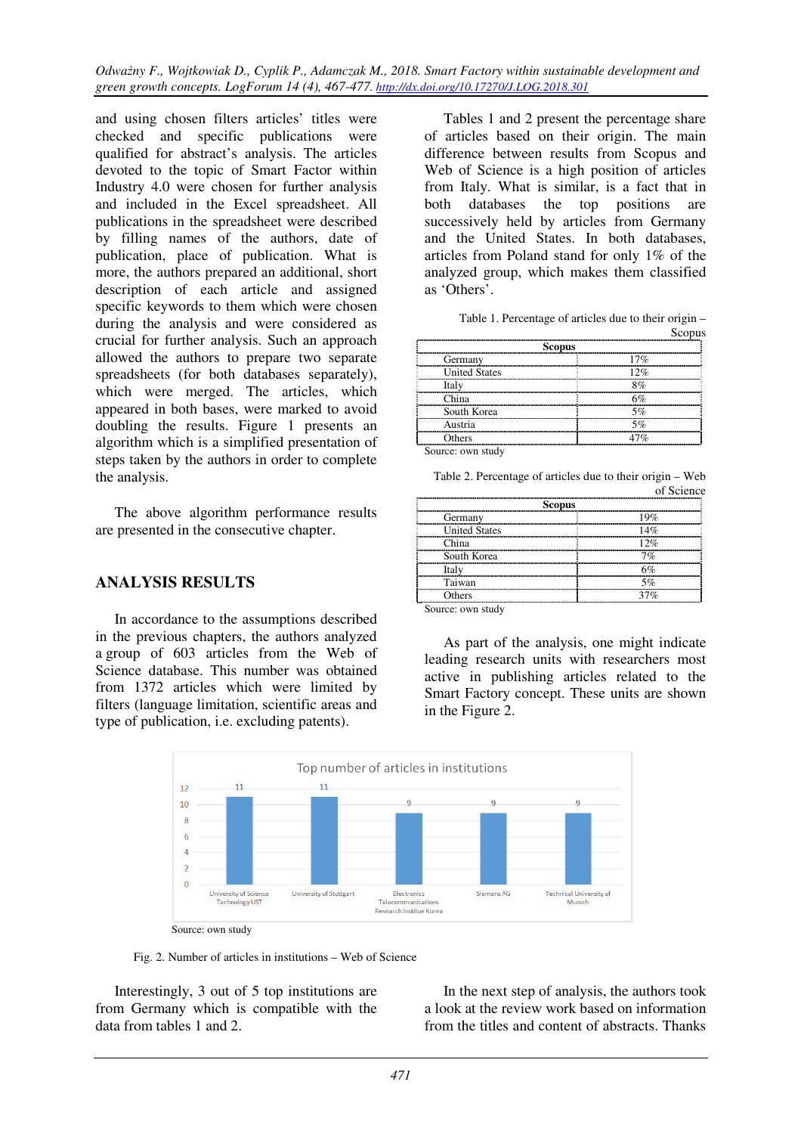and using chosen filters articles' titles were checked and specific publications were qualified for abstract's analysis. The articles devoted to the topic of Smart Factor within Industry 4.0 were chosen for further analysis and included in the Excel spreadsheet. All publications in the spreadsheet were described by filling names of the authors, date of publication, place of publication. What is more, the authors prepared an additional, short description of each article and assigned specific keywords to them which were chosen during the analysis and were considered as crucial for further analysis. Such an approach allowed the authors to prepare two separate spreadsheets (for both databases separately), which were merged. The articles, which appeared in both bases, were marked to avoid doubling the results. Figure 1 presents an algorithm which is a simplified presentation of steps taken by the authors in order to complete the analysis.

The above algorithm performance results are presented in the consecutive chapter.

### **ANALYSIS RESULTS**

In accordance to the assumptions described in the previous chapters, the authors analyzed a group of 603 articles from the Web of Science database. This number was obtained from 1372 articles which were limited by filters (language limitation, scientific areas and type of publication, i.e. excluding patents).

Tables 1 and 2 present the percentage share of articles based on their origin. The main difference between results from Scopus and Web of Science is a high position of articles from Italy. What is similar, is a fact that in both databases the top positions are successively held by articles from Germany and the United States. In both databases, articles from Poland stand for only 1% of the analyzed group, which makes them classified as 'Others'.

| 17% |  |
|-----|--|
| 12% |  |
| 8%  |  |
|     |  |
| 5%  |  |
|     |  |
|     |  |
|     |  |

Table 1. Percentage of articles due to their origin –

Source: own study

| Tuble 2.1 electronse of division and to diet o | of Science |
|------------------------------------------------|------------|
| <b>Scopus</b>                                  |            |
| Germany                                        |            |
| <b>United States</b>                           | 14%        |
| China                                          | 12%        |
| South Korea                                    | 70         |
| Italy                                          | 501.       |
| Taiwan                                         |            |
| Others                                         |            |

Table 2. Percentage of articles due to their origin – Web of Science

Source: own study

As part of the analysis, one might indicate leading research units with researchers most active in publishing articles related to the Smart Factory concept. These units are shown in the Figure 2.



Fig. 2. Number of articles in institutions – Web of Science

Interestingly, 3 out of 5 top institutions are from Germany which is compatible with the data from tables 1 and 2.

In the next step of analysis, the authors took a look at the review work based on information from the titles and content of abstracts. Thanks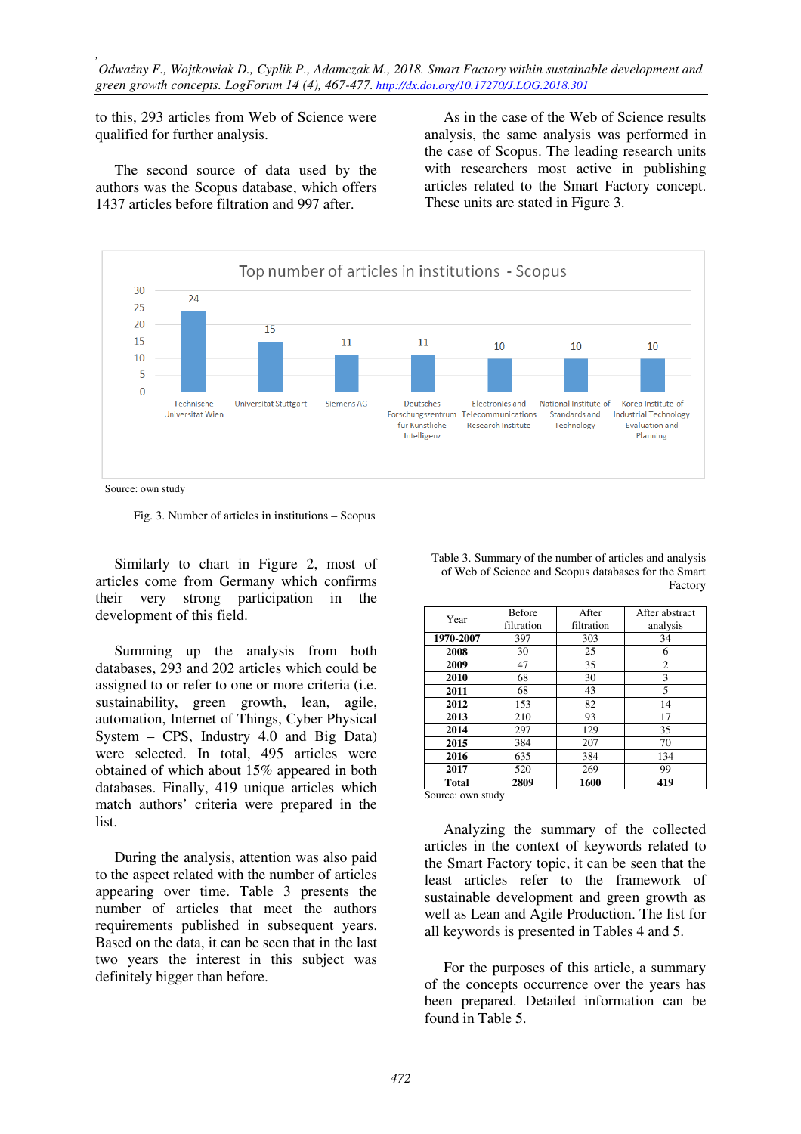to this, 293 articles from Web of Science were qualified for further analysis.

The second source of data used by the authors was the Scopus database, which offers 1437 articles before filtration and 997 after.

As in the case of the Web of Science results analysis, the same analysis was performed in the case of Scopus. The leading research units with researchers most active in publishing articles related to the Smart Factory concept. These units are stated in Figure 3.



Source: own study

Fig. 3. Number of articles in institutions – Scopus

Similarly to chart in Figure 2, most of articles come from Germany which confirms their very strong participation in the development of this field.

Summing up the analysis from both databases, 293 and 202 articles which could be assigned to or refer to one or more criteria (i.e. sustainability, green growth, lean, agile, automation, Internet of Things, Cyber Physical System – CPS, Industry 4.0 and Big Data) were selected. In total, 495 articles were obtained of which about 15% appeared in both databases. Finally, 419 unique articles which match authors' criteria were prepared in the list.

During the analysis, attention was also paid to the aspect related with the number of articles appearing over time. Table 3 presents the number of articles that meet the authors requirements published in subsequent years. Based on the data, it can be seen that in the last two years the interest in this subject was definitely bigger than before.

| Table 3. Summary of the number of articles and analysis |
|---------------------------------------------------------|
| of Web of Science and Scopus databases for the Smart    |
| Factory                                                 |

| Year         | <b>Before</b> | After      | After abstract |
|--------------|---------------|------------|----------------|
|              | filtration    | filtration | analysis       |
| 1970-2007    | 397           | 303        | 34             |
| 2008         | 30            | 25         | 6              |
| 2009         | 47            | 35         | $\overline{2}$ |
| 2010         | 68            | 30         | 3              |
| 2011         | 68            | 43         | 5              |
| 2012         | 153           | 82         | 14             |
| 2013         | 210           | 93         | 17             |
| 2014         | 297           | 129        | 35             |
| 2015         | 384           | 207        | 70             |
| 2016         | 635           | 384        | 134            |
| 2017         | 520           | 269        | 99             |
| <b>Total</b> | 2809          | 1600       | 419            |

Source: own study

Analyzing the summary of the collected articles in the context of keywords related to the Smart Factory topic, it can be seen that the least articles refer to the framework of sustainable development and green growth as well as Lean and Agile Production. The list for all keywords is presented in Tables 4 and 5.

For the purposes of this article, a summary of the concepts occurrence over the years has been prepared. Detailed information can be found in Table 5.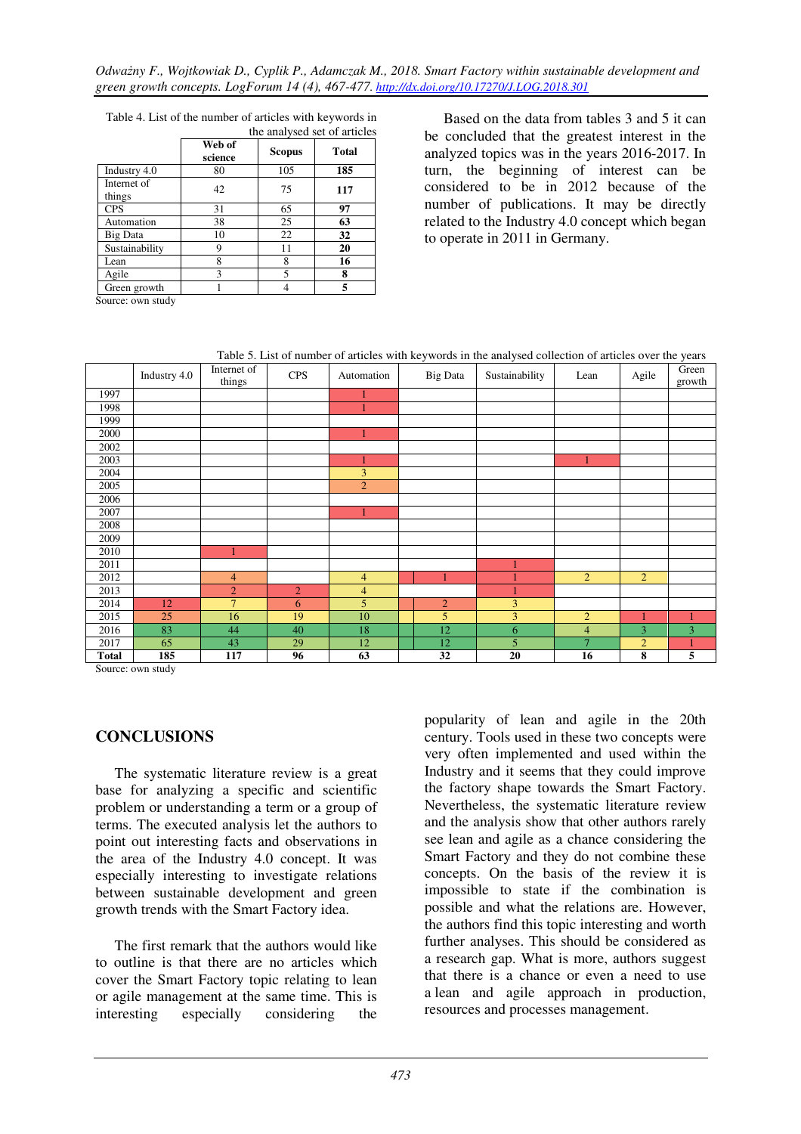|                       | the analysed set of articles |               |              |  |
|-----------------------|------------------------------|---------------|--------------|--|
|                       | Web of<br>science            | <b>Scopus</b> | <b>Total</b> |  |
| Industry 4.0          | 80                           | 105           | 185          |  |
| Internet of<br>things | 42                           | 75            | 117          |  |
| <b>CPS</b>            | 31                           | 65            | 97           |  |
| Automation            | 38                           | 25            | 63           |  |
| Big Data              | 10                           | 22            | 32           |  |
| Sustainability        | 9                            | 11            | 20           |  |
| Lean                  | 8                            | 8             | 16           |  |
| Agile                 | 3                            | 5             | 8            |  |
| Green growth          |                              |               | 5            |  |

Table 4. List of the number of articles with keywords in the analysed set of articles

Based on the data from tables 3 and 5 it can be concluded that the greatest interest in the analyzed topics was in the years 2016-2017. In turn, the beginning of interest can be considered to be in 2012 because of the number of publications. It may be directly related to the Industry 4.0 concept which began to operate in 2011 in Germany.

Source: own study

Table 5. List of number of articles with keywords in the analysed collection of articles over the years



Source: own study

### **CONCLUSIONS**

The systematic literature review is a great base for analyzing a specific and scientific problem or understanding a term or a group of terms. The executed analysis let the authors to point out interesting facts and observations in the area of the Industry 4.0 concept. It was especially interesting to investigate relations between sustainable development and green growth trends with the Smart Factory idea.

The first remark that the authors would like to outline is that there are no articles which cover the Smart Factory topic relating to lean or agile management at the same time. This is interesting especially considering the

popularity of lean and agile in the 20th century. Tools used in these two concepts were very often implemented and used within the Industry and it seems that they could improve the factory shape towards the Smart Factory. Nevertheless, the systematic literature review and the analysis show that other authors rarely see lean and agile as a chance considering the Smart Factory and they do not combine these concepts. On the basis of the review it is impossible to state if the combination is possible and what the relations are. However, the authors find this topic interesting and worth further analyses. This should be considered as a research gap. What is more, authors suggest that there is a chance or even a need to use a lean and agile approach in production, resources and processes management.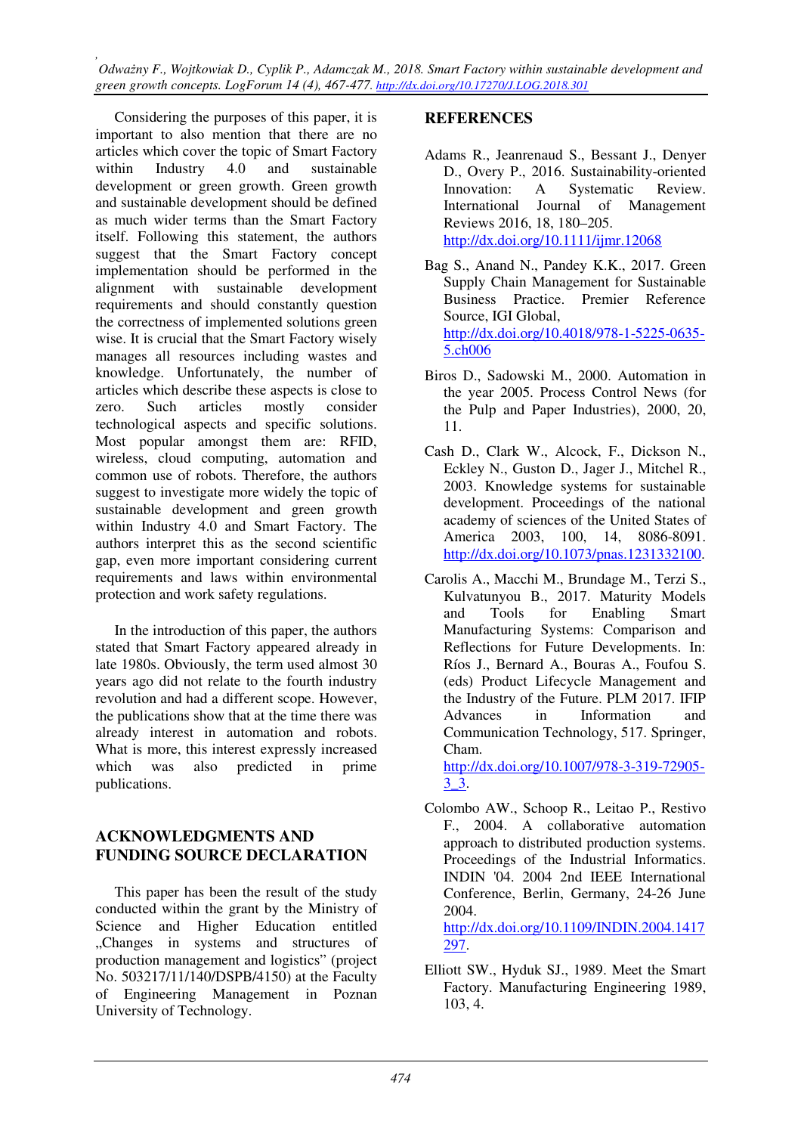Considering the purposes of this paper, it is important to also mention that there are no articles which cover the topic of Smart Factory within Industry 4.0 and sustainable development or green growth. Green growth and sustainable development should be defined as much wider terms than the Smart Factory itself. Following this statement, the authors suggest that the Smart Factory concept implementation should be performed in the alignment with sustainable development requirements and should constantly question the correctness of implemented solutions green wise. It is crucial that the Smart Factory wisely manages all resources including wastes and knowledge. Unfortunately, the number of articles which describe these aspects is close to zero. Such articles mostly consider technological aspects and specific solutions. Most popular amongst them are: RFID, wireless, cloud computing, automation and common use of robots. Therefore, the authors suggest to investigate more widely the topic of sustainable development and green growth within Industry 4.0 and Smart Factory. The authors interpret this as the second scientific gap, even more important considering current requirements and laws within environmental protection and work safety regulations.

In the introduction of this paper, the authors stated that Smart Factory appeared already in late 1980s. Obviously, the term used almost 30 years ago did not relate to the fourth industry revolution and had a different scope. However, the publications show that at the time there was already interest in automation and robots. What is more, this interest expressly increased which was also predicted in prime publications.

### **ACKNOWLEDGMENTS AND FUNDING SOURCE DECLARATION**

This paper has been the result of the study conducted within the grant by the Ministry of Science and Higher Education entitled "Changes in systems and structures of production management and logistics" (project No. 503217/11/140/DSPB/4150) at the Faculty of Engineering Management in Poznan University of Technology.

## **REFERENCES**

- Adams R., Jeanrenaud S., Bessant J., Denyer D., Overy P., 2016. Sustainability-oriented Innovation: A Systematic Review. International Journal of Management Reviews 2016, 18, 180–205. http://dx.doi.org/10.1111/ijmr.12068
- Bag S., Anand N., Pandey K.K., 2017. Green Supply Chain Management for Sustainable Business Practice. Premier Reference Source, IGI Global, http://dx.doi.org/10.4018/978-1-5225-0635- 5.ch006
- Biros D., Sadowski M., 2000. Automation in the year 2005. Process Control News (for the Pulp and Paper Industries), 2000, 20, 11.
- Cash D., Clark W., Alcock, F., Dickson N., Eckley N., Guston D., Jager J., Mitchel R., 2003. Knowledge systems for sustainable development. Proceedings of the national academy of sciences of the United States of America 2003, 100, 14, 8086-8091. http://dx.doi.org/10.1073/pnas.1231332100.
- Carolis A., Macchi M., Brundage M., Terzi S., Kulvatunyou B., 2017. Maturity Models and Tools for Enabling Smart Manufacturing Systems: Comparison and Reflections for Future Developments. In: Ríos J., Bernard A., Bouras A., Foufou S. (eds) Product Lifecycle Management and the Industry of the Future. PLM 2017. IFIP Advances in Information and Communication Technology, 517. Springer, Cham.

http://dx.doi.org/10.1007/978-3-319-72905- 3\_3.

Colombo AW., Schoop R., Leitao P., Restivo F., 2004. A collaborative automation approach to distributed production systems. Proceedings of the Industrial Informatics. INDIN '04. 2004 2nd IEEE International Conference, Berlin, Germany, 24-26 June 2004.

http://dx.doi.org/10.1109/INDIN.2004.1417 297.

Elliott SW., Hyduk SJ., 1989. Meet the Smart Factory. Manufacturing Engineering 1989, 103, 4.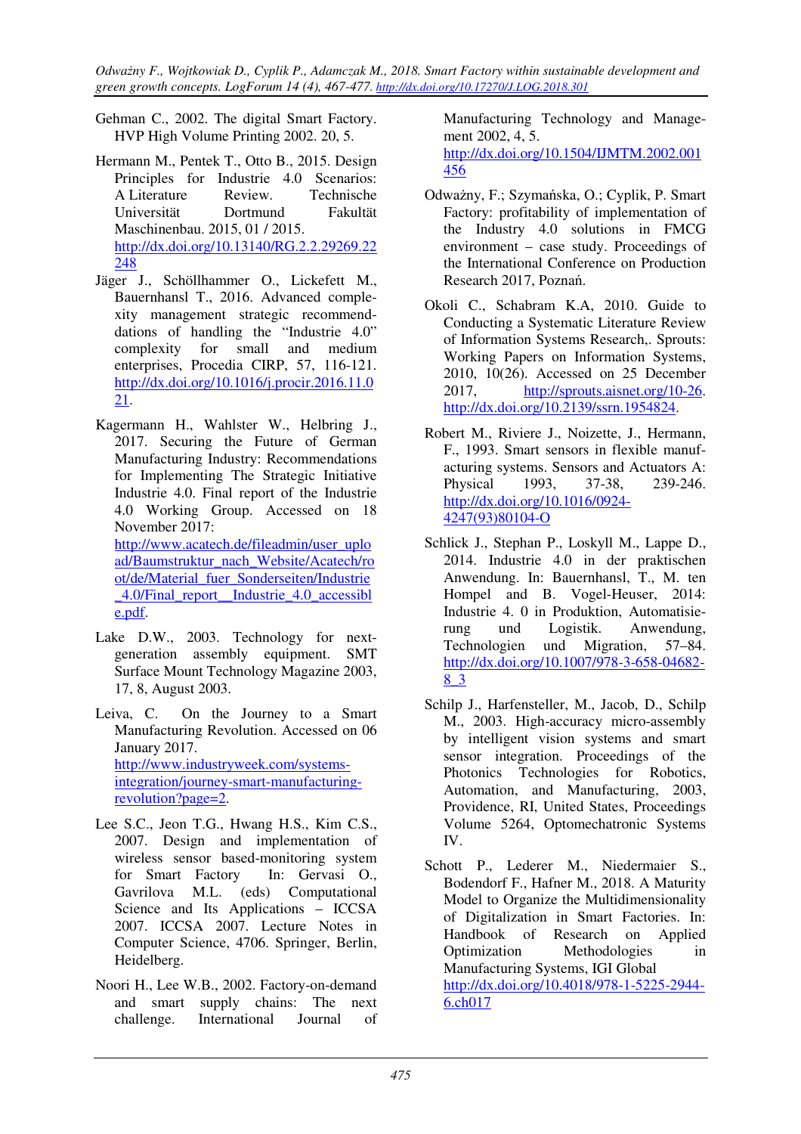- Gehman C., 2002. The digital Smart Factory. HVP High Volume Printing 2002. 20, 5.
- Hermann M., Pentek T., Otto B., 2015. Design Principles for Industrie 4.0 Scenarios: A Literature Review. Technische Universität Dortmund Fakultät Maschinenbau. 2015, 01 / 2015. http://dx.doi.org/10.13140/RG.2.2.29269.22 248
- Jäger J., Schöllhammer O., Lickefett M., Bauernhansl T., 2016. Advanced complexity management strategic recommenddations of handling the "Industrie 4.0" complexity for small and medium enterprises, Procedia CIRP, 57, 116-121. http://dx.doi.org/10.1016/j.procir.2016.11.0 21.
- Kagermann H., Wahlster W., Helbring J., 2017. Securing the Future of German Manufacturing Industry: Recommendations for Implementing The Strategic Initiative Industrie 4.0. Final report of the Industrie 4.0 Working Group. Accessed on 18 November 2017: http://www.acatech.de/fileadmin/user\_uplo ad/Baumstruktur\_nach\_Website/Acatech/ro ot/de/Material\_fuer\_Sonderseiten/Industrie \_4.0/Final\_report\_\_Industrie\_4.0\_accessibl e.pdf.
- Lake D.W., 2003. Technology for nextgeneration assembly equipment. SMT Surface Mount Technology Magazine 2003, 17, 8, August 2003.
- Leiva, C. On the Journey to a Smart Manufacturing Revolution. Accessed on 06 January 2017. http://www.industryweek.com/systemsintegration/journey-smart-manufacturingrevolution?page=2.
- Lee S.C., Jeon T.G., Hwang H.S., Kim C.S., 2007. Design and implementation of wireless sensor based-monitoring system for Smart Factory In: Gervasi O., Gavrilova M.L. (eds) Computational Science and Its Applications – ICCSA 2007. ICCSA 2007. Lecture Notes in Computer Science, 4706. Springer, Berlin, Heidelberg.
- Noori H., Lee W.B., 2002. Factory-on-demand and smart supply chains: The next challenge. International Journal of

Manufacturing Technology and Management 2002, 4, 5.

http://dx.doi.org/10.1504/IJMTM.2002.001 456

- Odważny, F.; Szymańska, O.; Cyplik, P. Smart Factory: profitability of implementation of the Industry 4.0 solutions in FMCG environment – case study. Proceedings of the International Conference on Production Research 2017, Poznań.
- Okoli C., Schabram K.A, 2010. Guide to Conducting a Systematic Literature Review of Information Systems Research,. Sprouts: Working Papers on Information Systems, 2010, 10(26). Accessed on 25 December 2017, http://sprouts.aisnet.org/10-26. http://dx.doi.org/10.2139/ssrn.1954824.
- Robert M., Riviere J., Noizette, J., Hermann, F., 1993. Smart sensors in flexible manufacturing systems. Sensors and Actuators A: Physical 1993, 37-38, 239-246. http://dx.doi.org/10.1016/0924- 4247(93)80104-O
- Schlick J., Stephan P., Loskyll M., Lappe D., 2014. Industrie 4.0 in der praktischen Anwendung. In: Bauernhansl, T., M. ten Hompel and B. Vogel-Heuser, 2014: Industrie 4. 0 in Produktion, Automatisierung und Logistik. Anwendung,<br>Technologien und Migration, 57–84. Technologien und Migration, 57–84. http://dx.doi.org/10.1007/978-3-658-04682- 8\_3
- Schilp J., Harfensteller, M., Jacob, D., Schilp M., 2003. High-accuracy micro-assembly by intelligent vision systems and smart sensor integration. Proceedings of the Photonics Technologies for Robotics, Automation, and Manufacturing, 2003, Providence, RI, United States, Proceedings Volume 5264, Optomechatronic Systems IV.
- Schott P., Lederer M., Niedermaier S., Bodendorf F., Hafner M., 2018. A Maturity Model to Organize the Multidimensionality of Digitalization in Smart Factories. In: Handbook of Research on Applied Optimization Methodologies in Manufacturing Systems, IGI Global http://dx.doi.org/10.4018/978-1-5225-2944- 6.ch017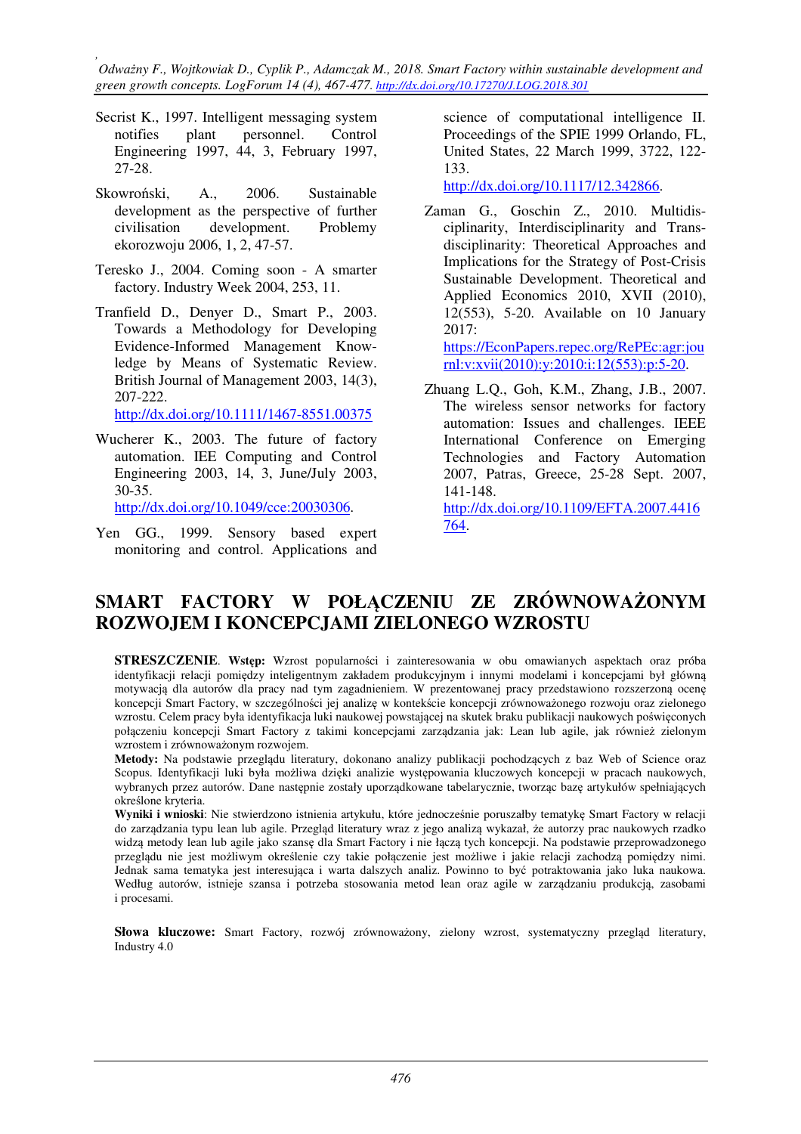- Secrist K., 1997. Intelligent messaging system notifies plant personnel. Control Engineering 1997, 44, 3, February 1997, 27-28.
- Skowroński, A., 2006. Sustainable development as the perspective of further civilisation development. Problemy ekorozwoju 2006, 1, 2, 47-57.
- Teresko J., 2004. Coming soon A smarter factory. Industry Week 2004, 253, 11.
- Tranfield D., Denyer D., Smart P., 2003. Towards a Methodology for Developing Evidence-Informed Management Knowledge by Means of Systematic Review. British Journal of Management 2003, 14(3), 207-222.

http://dx.doi.org/10.1111/1467-8551.00375

Wucherer K., 2003. The future of factory automation. IEE Computing and Control Engineering 2003, 14, 3, June/July 2003, 30-35.

http://dx.doi.org/10.1049/cce:20030306.

Yen GG., 1999. Sensory based expert monitoring and control. Applications and science of computational intelligence II. Proceedings of the SPIE 1999 Orlando, FL, United States, 22 March 1999, 3722, 122- 133.

http://dx.doi.org/10.1117/12.342866.

- Zaman G., Goschin Z., 2010. Multidisciplinarity, Interdisciplinarity and Transdisciplinarity: Theoretical Approaches and Implications for the Strategy of Post-Crisis Sustainable Development. Theoretical and Applied Economics 2010, XVII (2010), 12(553), 5-20. Available on 10 January 2017: https://EconPapers.repec.org/RePEc:agr:jou rnl:v:xvii(2010):y:2010:i:12(553):p:5-20.
- Zhuang L.Q., Goh, K.M., Zhang, J.B., 2007. The wireless sensor networks for factory automation: Issues and challenges. IEEE International Conference on Emerging Technologies and Factory Automation 2007, Patras, Greece, 25-28 Sept. 2007, 141-148. http://dx.doi.org/10.1109/EFTA.2007.4416

764.

# **SMART FACTORY W POŁĄCZENIU ZE ZRÓWNOWAŻONYM ROZWOJEM I KONCEPCJAMI ZIELONEGO WZROSTU**

**STRESZCZENIE**. **Wstęp:** Wzrost popularności i zainteresowania w obu omawianych aspektach oraz próba identyfikacji relacji pomiędzy inteligentnym zakładem produkcyjnym i innymi modelami i koncepcjami był główną motywacją dla autorów dla pracy nad tym zagadnieniem. W prezentowanej pracy przedstawiono rozszerzoną ocenę koncepcji Smart Factory, w szczególności jej analizę w kontekście koncepcji zrównoważonego rozwoju oraz zielonego wzrostu. Celem pracy była identyfikacja luki naukowej powstającej na skutek braku publikacji naukowych poświęconych połączeniu koncepcji Smart Factory z takimi koncepcjami zarządzania jak: Lean lub agile, jak również zielonym wzrostem i zrównoważonym rozwojem.

**Metody:** Na podstawie przeglądu literatury, dokonano analizy publikacji pochodzących z baz Web of Science oraz Scopus. Identyfikacji luki była możliwa dzięki analizie występowania kluczowych koncepcji w pracach naukowych, wybranych przez autorów. Dane następnie zostały uporządkowane tabelarycznie, tworząc bazę artykułów spełniających określone kryteria.

**Wyniki i wnioski**: Nie stwierdzono istnienia artykułu, które jednocześnie poruszałby tematykę Smart Factory w relacji do zarządzania typu lean lub agile. Przegląd literatury wraz z jego analizą wykazał, że autorzy prac naukowych rzadko widzą metody lean lub agile jako szansę dla Smart Factory i nie łączą tych koncepcji. Na podstawie przeprowadzonego przeglądu nie jest możliwym określenie czy takie połączenie jest możliwe i jakie relacji zachodzą pomiędzy nimi. Jednak sama tematyka jest interesująca i warta dalszych analiz. Powinno to być potraktowania jako luka naukowa. Według autorów, istnieje szansa i potrzeba stosowania metod lean oraz agile w zarządzaniu produkcją, zasobami i procesami.

**Słowa kluczowe:** Smart Factory, rozwój zrównoważony, zielony wzrost, systematyczny przegląd literatury, Industry 4.0